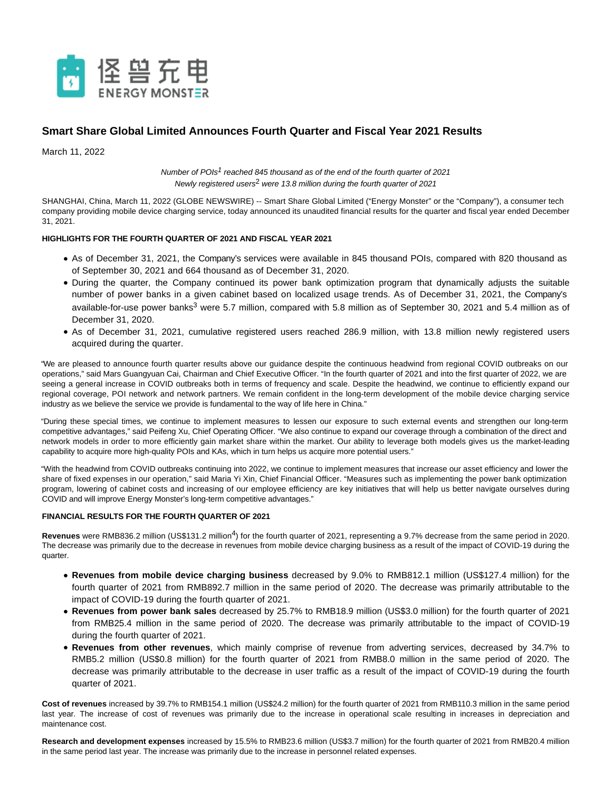

# **Smart Share Global Limited Announces Fourth Quarter and Fiscal Year 2021 Results**

March 11, 2022

Number of POIs<sup>1</sup> reached 845 thousand as of the end of the fourth quarter of 2021 Newly registered users2 were 13.8 million during the fourth quarter of 2021

SHANGHAI, China, March 11, 2022 (GLOBE NEWSWIRE) -- Smart Share Global Limited ("Energy Monster" or the "Company"), a consumer tech company providing mobile device charging service, today announced its unaudited financial results for the quarter and fiscal year ended December 31, 2021.

### **HIGHLIGHTS FOR THE FOURTH QUARTER OF 2021 AND FISCAL YEAR 2021**

- As of December 31, 2021, the Company's services were available in 845 thousand POIs, compared with 820 thousand as of September 30, 2021 and 664 thousand as of December 31, 2020.
- During the quarter, the Company continued its power bank optimization program that dynamically adjusts the suitable number of power banks in a given cabinet based on localized usage trends. As of December 31, 2021, the Company's available-for-use power banks<sup>3</sup> were 5.7 million, compared with 5.8 million as of September 30, 2021 and 5.4 million as of December 31, 2020.
- As of December 31, 2021, cumulative registered users reached 286.9 million, with 13.8 million newly registered users acquired during the quarter.

"We are pleased to announce fourth quarter results above our guidance despite the continuous headwind from regional COVID outbreaks on our operations," said Mars Guangyuan Cai, Chairman and Chief Executive Officer. "In the fourth quarter of 2021 and into the first quarter of 2022, we are seeing a general increase in COVID outbreaks both in terms of frequency and scale. Despite the headwind, we continue to efficiently expand our regional coverage, POI network and network partners. We remain confident in the long-term development of the mobile device charging service industry as we believe the service we provide is fundamental to the way of life here in China."

"During these special times, we continue to implement measures to lessen our exposure to such external events and strengthen our long-term competitive advantages," said Peifeng Xu, Chief Operating Officer. "We also continue to expand our coverage through a combination of the direct and network models in order to more efficiently gain market share within the market. Our ability to leverage both models gives us the market-leading capability to acquire more high-quality POIs and KAs, which in turn helps us acquire more potential users."

"With the headwind from COVID outbreaks continuing into 2022, we continue to implement measures that increase our asset efficiency and lower the share of fixed expenses in our operation," said Maria Yi Xin, Chief Financial Officer. "Measures such as implementing the power bank optimization program, lowering of cabinet costs and increasing of our employee efficiency are key initiatives that will help us better navigate ourselves during COVID and will improve Energy Monster's long-term competitive advantages."

### **FINANCIAL RESULTS FOR THE FOURTH QUARTER OF 2021**

Revenues were RMB836.2 million (US\$131.2 million<sup>4</sup>) for the fourth quarter of 2021, representing a 9.7% decrease from the same period in 2020. The decrease was primarily due to the decrease in revenues from mobile device charging business as a result of the impact of COVID-19 during the quarter.

- **Revenues from mobile device charging business** decreased by 9.0% to RMB812.1 million (US\$127.4 million) for the fourth quarter of 2021 from RMB892.7 million in the same period of 2020. The decrease was primarily attributable to the impact of COVID-19 during the fourth quarter of 2021.
- **Revenues from power bank sales** decreased by 25.7% to RMB18.9 million (US\$3.0 million) for the fourth quarter of 2021 from RMB25.4 million in the same period of 2020. The decrease was primarily attributable to the impact of COVID-19 during the fourth quarter of 2021.
- **Revenues from other revenues**, which mainly comprise of revenue from adverting services, decreased by 34.7% to RMB5.2 million (US\$0.8 million) for the fourth quarter of 2021 from RMB8.0 million in the same period of 2020. The decrease was primarily attributable to the decrease in user traffic as a result of the impact of COVID-19 during the fourth quarter of 2021.

**Cost of revenues** increased by 39.7% to RMB154.1 million (US\$24.2 million) for the fourth quarter of 2021 from RMB110.3 million in the same period last year. The increase of cost of revenues was primarily due to the increase in operational scale resulting in increases in depreciation and maintenance cost.

**Research and development expenses** increased by 15.5% to RMB23.6 million (US\$3.7 million) for the fourth quarter of 2021 from RMB20.4 million in the same period last year. The increase was primarily due to the increase in personnel related expenses.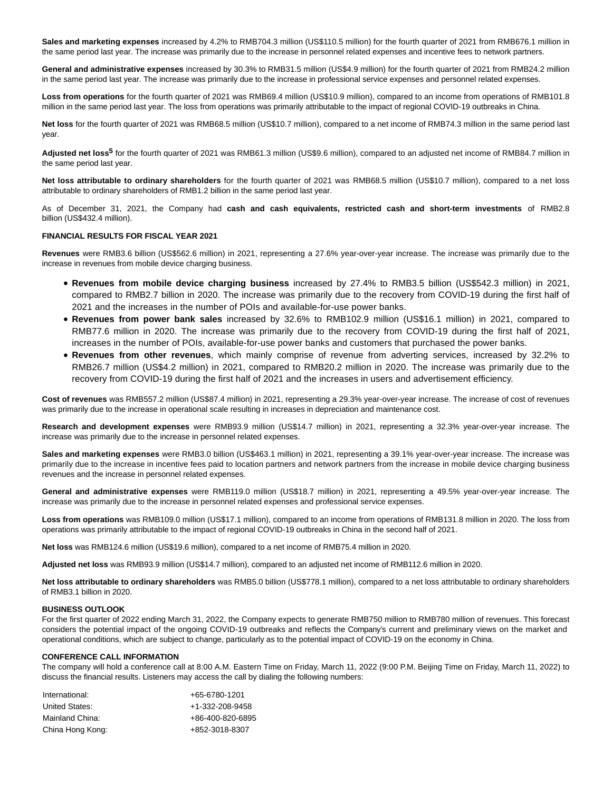**Sales and marketing expenses** increased by 4.2% to RMB704.3 million (US\$110.5 million) for the fourth quarter of 2021 from RMB676.1 million in the same period last year. The increase was primarily due to the increase in personnel related expenses and incentive fees to network partners.

**General and administrative expenses** increased by 30.3% to RMB31.5 million (US\$4.9 million) for the fourth quarter of 2021 from RMB24.2 million in the same period last year. The increase was primarily due to the increase in professional service expenses and personnel related expenses.

**Loss from operations** for the fourth quarter of 2021 was RMB69.4 million (US\$10.9 million), compared to an income from operations of RMB101.8 million in the same period last year. The loss from operations was primarily attributable to the impact of regional COVID-19 outbreaks in China.

**Net loss** for the fourth quarter of 2021 was RMB68.5 million (US\$10.7 million), compared to a net income of RMB74.3 million in the same period last year.

**Adjusted net loss5** for the fourth quarter of 2021 was RMB61.3 million (US\$9.6 million), compared to an adjusted net income of RMB84.7 million in the same period last year.

**Net loss attributable to ordinary shareholders** for the fourth quarter of 2021 was RMB68.5 million (US\$10.7 million), compared to a net loss attributable to ordinary shareholders of RMB1.2 billion in the same period last year.

As of December 31, 2021, the Company had **cash and cash equivalents, restricted cash and short-term investments** of RMB2.8 billion (US\$432.4 million).

### **FINANCIAL RESULTS FOR FISCAL YEAR 2021**

**Revenues** were RMB3.6 billion (US\$562.6 million) in 2021, representing a 27.6% year-over-year increase. The increase was primarily due to the increase in revenues from mobile device charging business.

- **Revenues from mobile device charging business** increased by 27.4% to RMB3.5 billion (US\$542.3 million) in 2021, compared to RMB2.7 billion in 2020. The increase was primarily due to the recovery from COVID-19 during the first half of 2021 and the increases in the number of POIs and available-for-use power banks.
- **Revenues from power bank sales** increased by 32.6% to RMB102.9 million (US\$16.1 million) in 2021, compared to RMB77.6 million in 2020. The increase was primarily due to the recovery from COVID-19 during the first half of 2021, increases in the number of POIs, available-for-use power banks and customers that purchased the power banks.
- **Revenues from other revenues**, which mainly comprise of revenue from adverting services, increased by 32.2% to RMB26.7 million (US\$4.2 million) in 2021, compared to RMB20.2 million in 2020. The increase was primarily due to the recovery from COVID-19 during the first half of 2021 and the increases in users and advertisement efficiency.

**Cost of revenues** was RMB557.2 million (US\$87.4 million) in 2021, representing a 29.3% year-over-year increase. The increase of cost of revenues was primarily due to the increase in operational scale resulting in increases in depreciation and maintenance cost.

**Research and development expenses** were RMB93.9 million (US\$14.7 million) in 2021, representing a 32.3% year-over-year increase. The increase was primarily due to the increase in personnel related expenses.

**Sales and marketing expenses** were RMB3.0 billion (US\$463.1 million) in 2021, representing a 39.1% year-over-year increase. The increase was primarily due to the increase in incentive fees paid to location partners and network partners from the increase in mobile device charging business revenues and the increase in personnel related expenses.

**General and administrative expenses** were RMB119.0 million (US\$18.7 million) in 2021, representing a 49.5% year-over-year increase. The increase was primarily due to the increase in personnel related expenses and professional service expenses.

**Loss from operations** was RMB109.0 million (US\$17.1 million), compared to an income from operations of RMB131.8 million in 2020. The loss from operations was primarily attributable to the impact of regional COVID-19 outbreaks in China in the second half of 2021.

**Net loss** was RMB124.6 million (US\$19.6 million), compared to a net income of RMB75.4 million in 2020.

**Adjusted net loss** was RMB93.9 million (US\$14.7 million), compared to an adjusted net income of RMB112.6 million in 2020.

**Net loss attributable to ordinary shareholders** was RMB5.0 billion (US\$778.1 million), compared to a net loss attributable to ordinary shareholders of RMB3.1 billion in 2020.

#### **BUSINESS OUTLOOK**

For the first quarter of 2022 ending March 31, 2022, the Company expects to generate RMB750 million to RMB780 million of revenues. This forecast considers the potential impact of the ongoing COVID-19 outbreaks and reflects the Company's current and preliminary views on the market and operational conditions, which are subject to change, particularly as to the potential impact of COVID-19 on the economy in China.

#### **CONFERENCE CALL INFORMATION**

The company will hold a conference call at 8:00 A.M. Eastern Time on Friday, March 11, 2022 (9:00 P.M. Beijing Time on Friday, March 11, 2022) to discuss the financial results. Listeners may access the call by dialing the following numbers:

| International:   | +65-6780-1201    |
|------------------|------------------|
| United States:   | +1-332-208-9458  |
| Mainland China:  | +86-400-820-6895 |
| China Hong Kong: | +852-3018-8307   |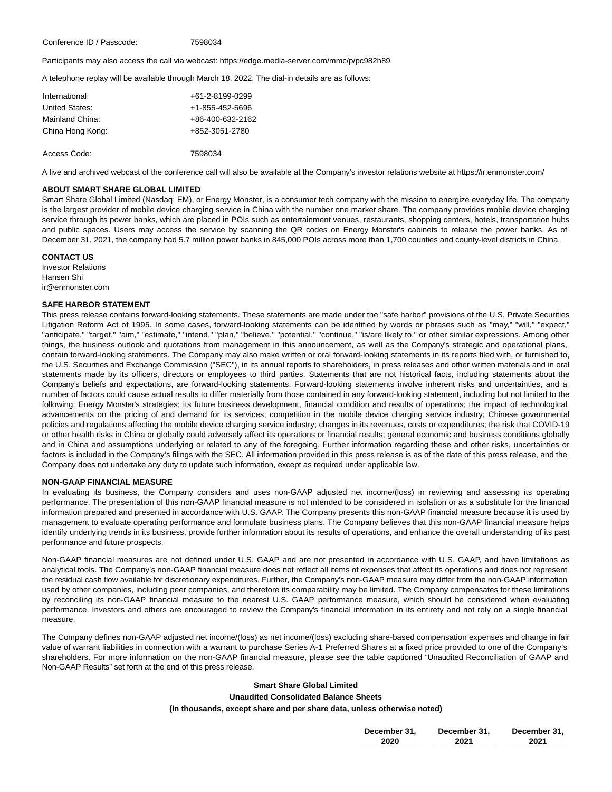Conference ID / Passcode: 7598034

Participants may also access the call via webcast: https://edge.media-server.com/mmc/p/pc982h89

A telephone replay will be available through March 18, 2022. The dial-in details are as follows:

| International:        | $+61 - 2 - 8199 - 0299$ |
|-----------------------|-------------------------|
| <b>United States:</b> | +1-855-452-5696         |
| Mainland China:       | +86-400-632-2162        |
| China Hong Kong:      | +852-3051-2780          |
| Access Code:          | 7598034                 |

A live and archived webcast of the conference call will also be available at the Company's investor relations website at https://ir.enmonster.com/

#### **ABOUT SMART SHARE GLOBAL LIMITED**

Smart Share Global Limited (Nasdaq: EM), or Energy Monster, is a consumer tech company with the mission to energize everyday life. The company is the largest provider of mobile device charging service in China with the number one market share. The company provides mobile device charging service through its power banks, which are placed in POIs such as entertainment venues, restaurants, shopping centers, hotels, transportation hubs and public spaces. Users may access the service by scanning the QR codes on Energy Monster's cabinets to release the power banks. As of December 31, 2021, the company had 5.7 million power banks in 845,000 POIs across more than 1,700 counties and county-level districts in China.

**CONTACT US** Investor Relations Hansen Shi ir@enmonster.com

#### **SAFE HARBOR STATEMENT**

This press release contains forward-looking statements. These statements are made under the "safe harbor" provisions of the U.S. Private Securities Litigation Reform Act of 1995. In some cases, forward-looking statements can be identified by words or phrases such as "may," "will," "expect," "anticipate," "target," "aim," "estimate," "intend," "plan," "believe," "potential," "continue," "is/are likely to," or other similar expressions. Among other things, the business outlook and quotations from management in this announcement, as well as the Company's strategic and operational plans, contain forward-looking statements. The Company may also make written or oral forward-looking statements in its reports filed with, or furnished to, the U.S. Securities and Exchange Commission ("SEC"), in its annual reports to shareholders, in press releases and other written materials and in oral statements made by its officers, directors or employees to third parties. Statements that are not historical facts, including statements about the Company's beliefs and expectations, are forward-looking statements. Forward-looking statements involve inherent risks and uncertainties, and a number of factors could cause actual results to differ materially from those contained in any forward-looking statement, including but not limited to the following: Energy Monster's strategies; its future business development, financial condition and results of operations; the impact of technological advancements on the pricing of and demand for its services; competition in the mobile device charging service industry; Chinese governmental policies and regulations affecting the mobile device charging service industry; changes in its revenues, costs or expenditures; the risk that COVID-19 or other health risks in China or globally could adversely affect its operations or financial results; general economic and business conditions globally and in China and assumptions underlying or related to any of the foregoing. Further information regarding these and other risks, uncertainties or factors is included in the Company's filings with the SEC. All information provided in this press release is as of the date of this press release, and the Company does not undertake any duty to update such information, except as required under applicable law.

#### **NON-GAAP FINANCIAL MEASURE**

In evaluating its business, the Company considers and uses non-GAAP adjusted net income/(loss) in reviewing and assessing its operating performance. The presentation of this non-GAAP financial measure is not intended to be considered in isolation or as a substitute for the financial information prepared and presented in accordance with U.S. GAAP. The Company presents this non-GAAP financial measure because it is used by management to evaluate operating performance and formulate business plans. The Company believes that this non-GAAP financial measure helps identify underlying trends in its business, provide further information about its results of operations, and enhance the overall understanding of its past performance and future prospects.

Non-GAAP financial measures are not defined under U.S. GAAP and are not presented in accordance with U.S. GAAP, and have limitations as analytical tools. The Company's non-GAAP financial measure does not reflect all items of expenses that affect its operations and does not represent the residual cash flow available for discretionary expenditures. Further, the Company's non-GAAP measure may differ from the non-GAAP information used by other companies, including peer companies, and therefore its comparability may be limited. The Company compensates for these limitations by reconciling its non-GAAP financial measure to the nearest U.S. GAAP performance measure, which should be considered when evaluating performance. Investors and others are encouraged to review the Company's financial information in its entirety and not rely on a single financial measure.

The Company defines non-GAAP adjusted net income/(loss) as net income/(loss) excluding share-based compensation expenses and change in fair value of warrant liabilities in connection with a warrant to purchase Series A-1 Preferred Shares at a fixed price provided to one of the Company's shareholders. For more information on the non-GAAP financial measure, please see the table captioned "Unaudited Reconciliation of GAAP and Non-GAAP Results" set forth at the end of this press release.

# **Smart Share Global Limited Unaudited Consolidated Balance Sheets (In thousands, except share and per share data, unless otherwise noted)**

| December 31, | December 31, | December 31, |
|--------------|--------------|--------------|
| 2020         | 2021         | 2021         |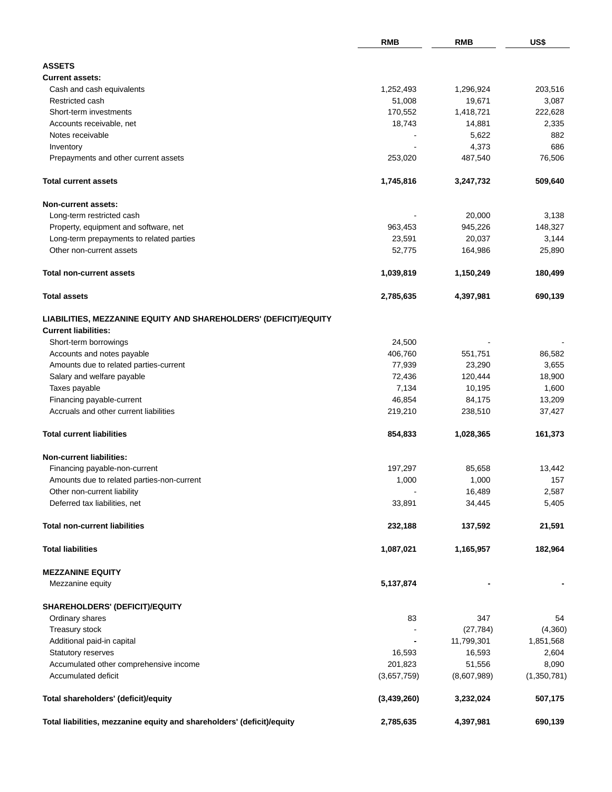|                                                                        | <b>RMB</b>  | <b>RMB</b>  | US\$        |  |
|------------------------------------------------------------------------|-------------|-------------|-------------|--|
| <b>ASSETS</b>                                                          |             |             |             |  |
| <b>Current assets:</b>                                                 |             |             |             |  |
| Cash and cash equivalents                                              | 1,252,493   | 1,296,924   | 203,516     |  |
| Restricted cash                                                        | 51,008      | 19,671      | 3,087       |  |
| Short-term investments                                                 | 170,552     | 1,418,721   | 222,628     |  |
| Accounts receivable, net                                               | 18,743      | 14,881      | 2,335       |  |
| Notes receivable                                                       |             | 5,622       | 882         |  |
| Inventory                                                              |             | 4,373       | 686         |  |
| Prepayments and other current assets                                   | 253,020     | 487,540     | 76,506      |  |
| <b>Total current assets</b>                                            | 1,745,816   | 3,247,732   | 509,640     |  |
| <b>Non-current assets:</b>                                             |             |             |             |  |
| Long-term restricted cash                                              |             | 20,000      | 3,138       |  |
| Property, equipment and software, net                                  | 963,453     | 945,226     | 148,327     |  |
| Long-term prepayments to related parties                               | 23,591      | 20,037      | 3,144       |  |
| Other non-current assets                                               | 52,775      | 164,986     | 25,890      |  |
| <b>Total non-current assets</b>                                        | 1,039,819   | 1,150,249   | 180,499     |  |
| <b>Total assets</b>                                                    | 2,785,635   | 4,397,981   | 690,139     |  |
| LIABILITIES, MEZZANINE EQUITY AND SHAREHOLDERS' (DEFICIT)/EQUITY       |             |             |             |  |
| <b>Current liabilities:</b>                                            |             |             |             |  |
| Short-term borrowings                                                  | 24,500      |             |             |  |
| Accounts and notes payable                                             | 406,760     | 551,751     | 86,582      |  |
| Amounts due to related parties-current                                 | 77,939      | 23,290      | 3,655       |  |
| Salary and welfare payable                                             | 72,436      | 120,444     | 18,900      |  |
| Taxes payable                                                          | 7,134       | 10,195      | 1,600       |  |
| Financing payable-current                                              | 46,854      | 84,175      | 13,209      |  |
| Accruals and other current liabilities                                 | 219,210     | 238,510     | 37,427      |  |
| <b>Total current liabilities</b>                                       | 854,833     | 1,028,365   | 161,373     |  |
| <b>Non-current liabilities:</b>                                        |             |             |             |  |
| Financing payable-non-current                                          | 197,297     | 85,658      | 13,442      |  |
| Amounts due to related parties-non-current                             | 1,000       | 1,000       | 157         |  |
| Other non-current liability                                            |             | 16,489      | 2,587       |  |
| Deferred tax liabilities, net                                          | 33,891      | 34,445      | 5,405       |  |
| Total non-current liabilities                                          | 232,188     | 137,592     | 21,591      |  |
| <b>Total liabilities</b>                                               | 1,087,021   | 1,165,957   | 182,964     |  |
| <b>MEZZANINE EQUITY</b>                                                |             |             |             |  |
| Mezzanine equity                                                       | 5,137,874   |             |             |  |
| <b>SHAREHOLDERS' (DEFICIT)/EQUITY</b>                                  |             |             |             |  |
| Ordinary shares                                                        | 83          | 347         | 54          |  |
| Treasury stock                                                         |             | (27, 784)   | (4,360)     |  |
| Additional paid-in capital                                             |             | 11,799,301  | 1,851,568   |  |
| Statutory reserves                                                     | 16,593      | 16,593      | 2,604       |  |
| Accumulated other comprehensive income                                 | 201,823     | 51,556      | 8,090       |  |
| Accumulated deficit                                                    | (3,657,759) | (8,607,989) | (1,350,781) |  |
| Total shareholders' (deficit)/equity                                   | (3,439,260) | 3,232,024   | 507,175     |  |
| Total liabilities, mezzanine equity and shareholders' (deficit)/equity | 2,785,635   | 4,397,981   | 690,139     |  |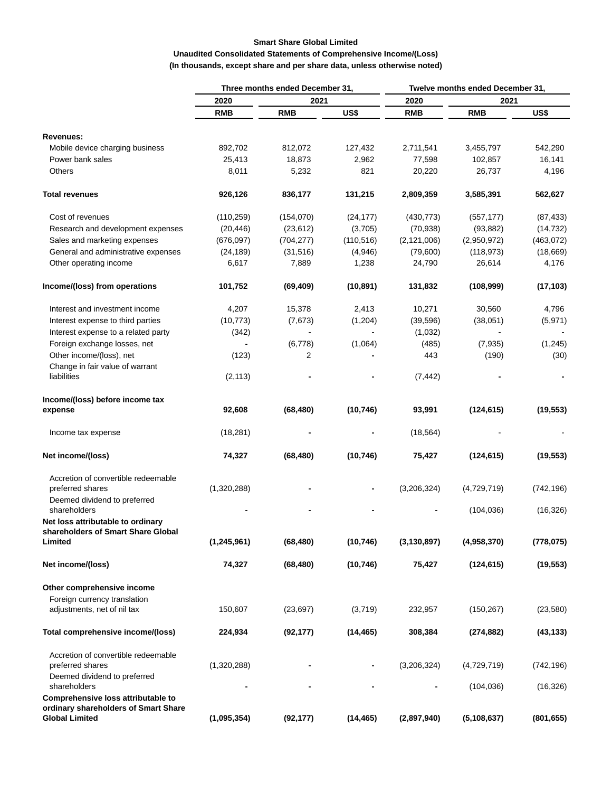# **Smart Share Global Limited**

# **Unaudited Consolidated Statements of Comprehensive Income/(Loss) (In thousands, except share and per share data, unless otherwise noted)**

|                                                                         |                   | Three months ended December 31, |                  | Twelve months ended December 31, |               |            |
|-------------------------------------------------------------------------|-------------------|---------------------------------|------------------|----------------------------------|---------------|------------|
|                                                                         | 2020              | 2021                            |                  | 2020<br>2021                     |               |            |
|                                                                         | <b>RMB</b>        | <b>RMB</b>                      | US\$             | <b>RMB</b>                       | <b>RMB</b>    | US\$       |
| <b>Revenues:</b>                                                        |                   |                                 |                  |                                  |               |            |
|                                                                         |                   | 812,072                         |                  |                                  |               | 542,290    |
| Mobile device charging business<br>Power bank sales                     | 892,702<br>25,413 | 18,873                          | 127,432<br>2,962 | 2,711,541                        | 3,455,797     | 16,141     |
|                                                                         |                   |                                 |                  | 77,598                           | 102,857       |            |
| <b>Others</b>                                                           | 8,011             | 5,232                           | 821              | 20,220                           | 26,737        | 4,196      |
| <b>Total revenues</b>                                                   | 926,126           | 836,177                         | 131,215          | 2,809,359                        | 3,585,391     | 562,627    |
| Cost of revenues                                                        | (110, 259)        | (154,070)                       | (24, 177)        | (430, 773)                       | (557, 177)    | (87, 433)  |
| Research and development expenses                                       | (20, 446)         | (23, 612)                       | (3,705)          | (70, 938)                        | (93, 882)     | (14, 732)  |
| Sales and marketing expenses                                            | (676,097)         | (704, 277)                      | (110, 516)       | (2, 121, 006)                    | (2,950,972)   | (463, 072) |
| General and administrative expenses                                     | (24, 189)         | (31, 516)                       | (4,946)          | (79,600)                         | (118, 973)    | (18,669)   |
| Other operating income                                                  | 6,617             | 7,889                           | 1,238            | 24,790                           | 26,614        | 4,176      |
| Income/(loss) from operations                                           | 101,752           | (69, 409)                       | (10, 891)        | 131,832                          | (108,999)     | (17, 103)  |
|                                                                         |                   |                                 |                  |                                  |               |            |
| Interest and investment income                                          | 4,207             | 15,378                          | 2,413            | 10,271                           | 30,560        | 4,796      |
| Interest expense to third parties                                       | (10, 773)         | (7,673)                         | (1,204)          | (39, 596)                        | (38,051)      | (5,971)    |
| Interest expense to a related party                                     | (342)             |                                 |                  | (1,032)                          |               |            |
| Foreign exchange losses, net                                            |                   | (6,778)                         | (1,064)          | (485)                            | (7, 935)      | (1, 245)   |
| Other income/(loss), net                                                | (123)             | 2                               |                  | 443                              | (190)         | (30)       |
| Change in fair value of warrant<br>liabilities                          | (2, 113)          |                                 |                  | (7, 442)                         |               |            |
| Income/(loss) before income tax                                         |                   |                                 |                  |                                  |               |            |
| expense                                                                 | 92,608            | (68, 480)                       | (10, 746)        | 93,991                           | (124, 615)    | (19, 553)  |
| Income tax expense                                                      | (18, 281)         |                                 |                  | (18, 564)                        |               |            |
| Net income/(loss)                                                       | 74,327            | (68, 480)                       | (10, 746)        | 75,427                           | (124, 615)    | (19, 553)  |
| Accretion of convertible redeemable                                     |                   |                                 |                  |                                  |               |            |
| preferred shares                                                        | (1,320,288)       |                                 |                  | (3,206,324)                      | (4,729,719)   | (742, 196) |
| Deemed dividend to preferred<br>shareholders                            |                   |                                 |                  |                                  | (104, 036)    | (16, 326)  |
| Net loss attributable to ordinary<br>shareholders of Smart Share Global |                   |                                 |                  |                                  |               |            |
| Limited                                                                 | (1, 245, 961)     | (68, 480)                       | (10, 746)        | (3, 130, 897)                    | (4,958,370)   | (778, 075) |
| Net income/(loss)                                                       | 74,327            | (68, 480)                       | (10, 746)        | 75,427                           | (124, 615)    | (19, 553)  |
| Other comprehensive income                                              |                   |                                 |                  |                                  |               |            |
| Foreign currency translation                                            |                   |                                 |                  |                                  |               |            |
| adjustments, net of nil tax                                             | 150,607           | (23, 697)                       | (3,719)          | 232,957                          | (150, 267)    | (23, 580)  |
| Total comprehensive income/(loss)                                       | 224,934           | (92, 177)                       | (14, 465)        | 308,384                          | (274, 882)    | (43, 133)  |
| Accretion of convertible redeemable                                     |                   |                                 |                  |                                  |               |            |
| preferred shares                                                        | (1,320,288)       |                                 |                  | (3,206,324)                      | (4,729,719)   | (742, 196) |
| Deemed dividend to preferred<br>shareholders                            |                   |                                 |                  |                                  | (104, 036)    | (16, 326)  |
| Comprehensive loss attributable to                                      |                   |                                 |                  |                                  |               |            |
| ordinary shareholders of Smart Share                                    |                   |                                 |                  |                                  |               |            |
| <b>Global Limited</b>                                                   | (1,095,354)       | (92, 177)                       | (14, 465)        | (2,897,940)                      | (5, 108, 637) | (801, 655) |